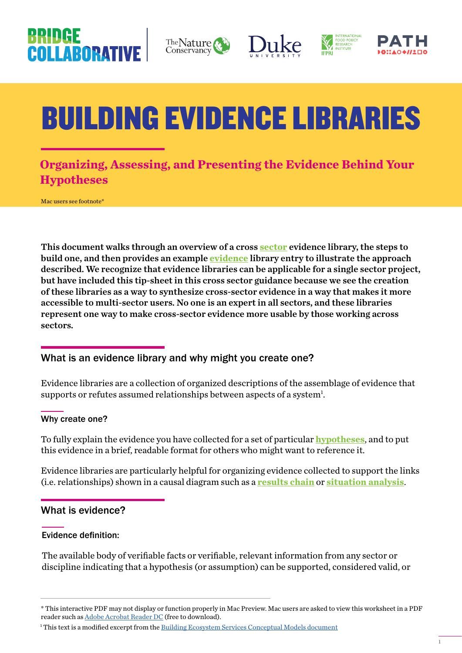## **BRIDGE** COLLABORATIV









# BUILDING EVIDENCE LIBRARIES

### **Organizing, Assessing, and Presenting the Evidence Behind Your Hypotheses**

Mac users see footnote<sup>\*</sup>

This document walks through an overview of a cross **sector** evidence library, the steps to build one, and then provides an example **evidence** library entry to illustrate the approach described. We recognize that evidence libraries can be applicable for a single sector project, but have included this tip-sheet in this cross sector guidance because we see the creation of these libraries as a way to synthesize cross-sector evidence in a way that makes it more accessible to multi-sector users. No one is an expert in all sectors, and these libraries represent one way to make cross-sector evidence more usable by those working across sectors.

#### What is an evidence library and why might you create one?

Evidence libraries are a collection of organized descriptions of the assemblage of evidence that supports or refutes assumed relationships between aspects of a system<sup>1</sup>.

#### Why create one?

To fully explain the evidence you have collected for a set of particular **hypotheses**, and to put this evidence in a brief, readable format for others who might want to reference it.

Evidence libraries are particularly helpful for organizing evidence collected to support the links (i.e. relationships) shown in a causal diagram such as a **results chain** or **situation analysis**.

#### What is evidence?

#### Evidence definition:

The available body of verifiable facts or verifiable, relevant information from any sector or discipline indicating that a hypothesis (or assumption) can be supported, considered valid, or

<sup>\*</sup> This interactive PDF may not display or function properly in Mac Preview. Mac users are asked to view this worksheet in a PDF reader such as [Adobe Acrobat Reader DC](https://get.adobe.com/uk/reader/?promoid=KSWLH) (free to download).

<sup>&</sup>lt;sup>1</sup> This text is a modified excerpt from the <u>[Building Ecosystem Services Conceptual Models document](http://nicholasinstitute.duke.edu/publications/building-ecosystem-services-conceptual-models)</u>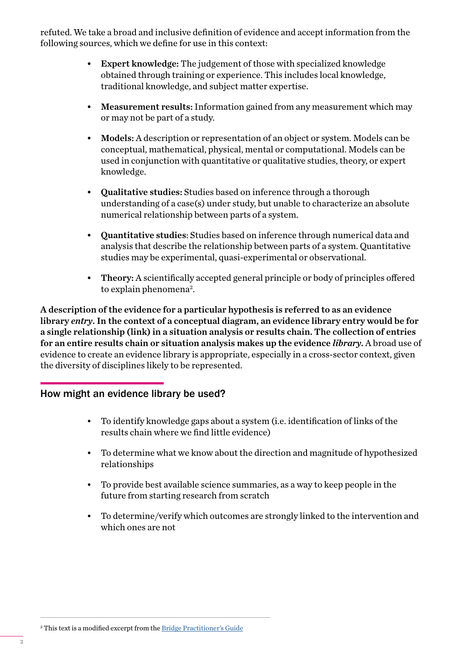refuted. We take a broad and inclusive definition of evidence and accept information from the following sources, which we define for use in this context:

- Expert knowledge: The judgement of those with specialized knowledge obtained through training or experience. This includes local knowledge, traditional knowledge, and subject matter expertise.
- Measurement results: Information gained from any measurement which may or may not be part of a study.
- Models: A description or representation of an object or system. Models can be conceptual, mathematical, physical, mental or computational. Models can be used in conjunction with quantitative or qualitative studies, theory, or expert knowledge.
- Qualitative studies: Studies based on inference through a thorough understanding of a case(s) under study, but unable to characterize an absolute numerical relationship between parts of a system.
- Quantitative studies: Studies based on inference through numerical data and analysis that describe the relationship between parts of a system. Quantitative studies may be experimental, quasi-experimental or observational.
- Theory: A scientifically accepted general principle or body of principles offered to explain phenomena<sup>2</sup>.

A description of the evidence for a particular hypothesis is referred to as an evidence library *entry*. In the context of a conceptual diagram, an evidence library entry would be for a single relationship (link) in a situation analysis or results chain. The collection of entries for an entire results chain or situation analysis makes up the evidence *library*. A broad use of evidence to create an evidence library is appropriate, especially in a cross-sector context, given the diversity of disciplines likely to be represented.

#### How might an evidence library be used?

- To identify knowledge gaps about a system (i.e. identification of links of the results chain where we find little evidence)
- To determine what we know about the direction and magnitude of hypothesized relationships
- To provide best available science summaries, as a way to keep people in the future from starting research from scratch
- To determine/verify which outcomes are strongly linked to the intervention and which ones are not

<sup>2</sup> This text is a modified excerpt from the <u>Bridge Practitioner's Guide</u>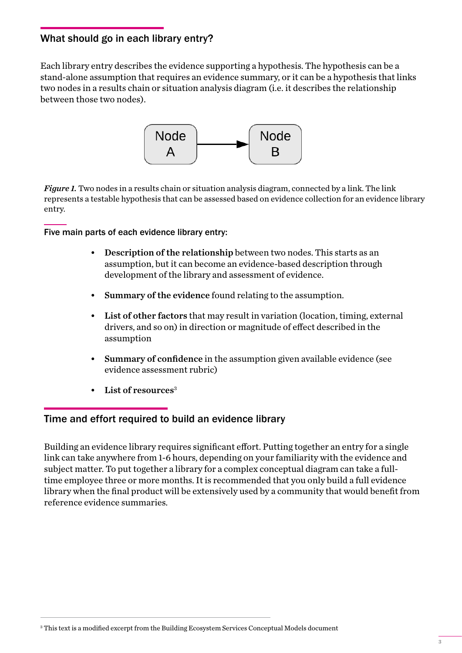#### What should go in each library entry?

Each library entry describes the evidence supporting a hypothesis. The hypothesis can be a stand-alone assumption that requires an evidence summary, or it can be a hypothesis that links two nodes in a results chain or situation analysis diagram (i.e. it describes the relationship between those two nodes).



*Figure 1.* Two nodes in a results chain or situation analysis diagram, connected by a link. The link represents a testable hypothesis that can be assessed based on evidence collection for an evidence library entry.

#### Five main parts of each evidence library entry:

- Description of the relationship between two nodes. This starts as an assumption, but it can become an evidence-based description through development of the library and assessment of evidence.
- Summary of the evidence found relating to the assumption.
- List of other factors that may result in variation (location, timing, external drivers, and so on) in direction or magnitude of effect described in the assumption
- Summary of confidence in the assumption given available evidence (see evidence assessment rubric)
- List of resources<sup>3</sup>

#### Time and effort required to build an evidence library

Building an evidence library requires significant effort. Putting together an entry for a single link can take anywhere from 1-6 hours, depending on your familiarity with the evidence and subject matter. To put together a library for a complex conceptual diagram can take a fulltime employee three or more months. It is recommended that you only build a full evidence library when the final product will be extensively used by a community that would benefit from reference evidence summaries.

 $^{\rm 3}$  This text is a modified excerpt from the Building Ecosystem Services Conceptual Models document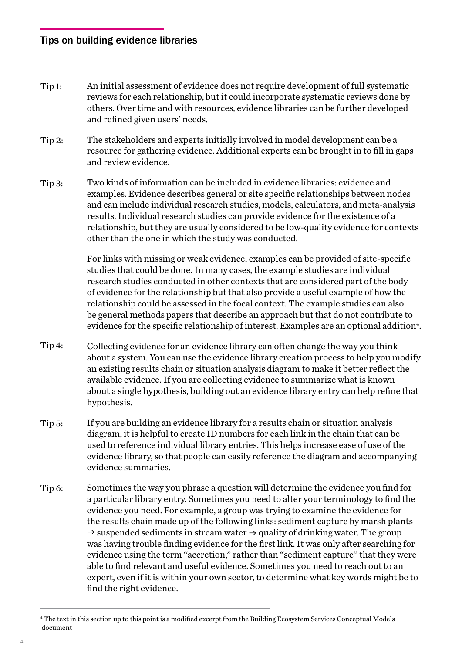#### Tips on building evidence libraries

- An initial assessment of evidence does not require development of full systematic reviews for each relationship, but it could incorporate systematic reviews done by others. Over time and with resources, evidence libraries can be further developed and refined given users' needs. Tip 1:
- The stakeholders and experts initially involved in model development can be a resource for gathering evidence. Additional experts can be brought in to fill in gaps and review evidence. Tip 2:
- Two kinds of information can be included in evidence libraries: evidence and examples. Evidence describes general or site specific relationships between nodes and can include individual research studies, models, calculators, and meta-analysis results. Individual research studies can provide evidence for the existence of a relationship, but they are usually considered to be low-quality evidence for contexts other than the one in which the study was conducted. Tip 3:

For links with missing or weak evidence, examples can be provided of site-specific studies that could be done. In many cases, the example studies are individual research studies conducted in other contexts that are considered part of the body of evidence for the relationship but that also provide a useful example of how the relationship could be assessed in the focal context. The example studies can also be general methods papers that describe an approach but that do not contribute to evidence for the specific relationship of interest. Examples are an optional addition<sup>4</sup>.

- Collecting evidence for an evidence library can often change the way you think about a system. You can use the evidence library creation process to help you modify an existing results chain or situation analysis diagram to make it better reflect the available evidence. If you are collecting evidence to summarize what is known about a single hypothesis, building out an evidence library entry can help refine that hypothesis. Tip 4:
- If you are building an evidence library for a results chain or situation analysis diagram, it is helpful to create ID numbers for each link in the chain that can be used to reference individual library entries. This helps increase ease of use of the evidence library, so that people can easily reference the diagram and accompanying evidence summaries. Tip 5:
- Sometimes the way you phrase a question will determine the evidence you find for a particular library entry. Sometimes you need to alter your terminology to find the evidence you need. For example, a group was trying to examine the evidence for the results chain made up of the following links: sediment capture by marsh plants  $\rightarrow$  suspended sediments in stream water  $\rightarrow$  quality of drinking water. The group was having trouble finding evidence for the first link. It was only after searching for evidence using the term "accretion," rather than "sediment capture" that they were able to find relevant and useful evidence. Sometimes you need to reach out to an expert, even if it is within your own sector, to determine what key words might be to find the right evidence. Tip 6:

<sup>4</sup> The text in this section up to this point is a modified excerpt from the Building Ecosystem Services Conceptual Models document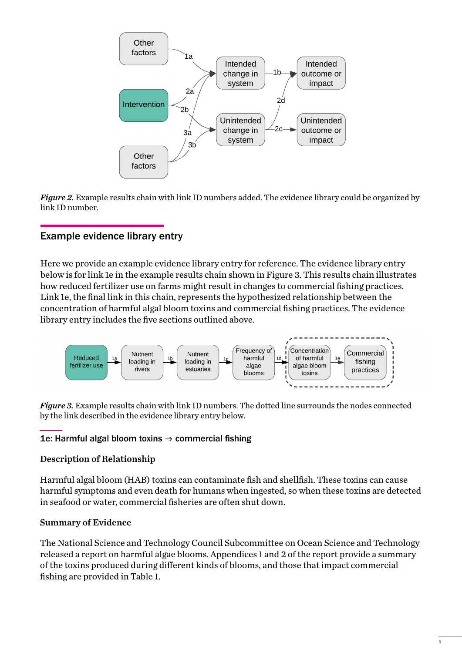

*Figure 2.* Example results chain with link ID numbers added. The evidence library could be organized by link ID number.

#### Example evidence library entry

Here we provide an example evidence library entry for reference. The evidence library entry below is for link 1e in the example results chain shown in Figure 3. This results chain illustrates how reduced fertilizer use on farms might result in changes to commercial fishing practices. Link 1e, the final link in this chain, represents the hypothesized relationship between the concentration of harmful algal bloom toxins and commercial fishing practices. The evidence library entry includes the five sections outlined above.



*Figure 3.* Example results chain with link ID numbers. The dotted line surrounds the nodes connected by the link described in the evidence library entry below.

#### 1e: Harmful algal bloom toxins  $\rightarrow$  commercial fishing

#### Description of Relationship

Harmful algal bloom (HAB) toxins can contaminate fish and shellfish. These toxins can cause harmful symptoms and even death for humans when ingested, so when these toxins are detected in seafood or water, commercial fisheries are often shut down.

#### Summary of Evidence

The National Science and Technology Council Subcommittee on Ocean Science and Technology released a report on harmful algae blooms. Appendices 1 and 2 of the report provide a summary of the toxins produced during different kinds of blooms, and those that impact commercial fishing are provided in Table 1.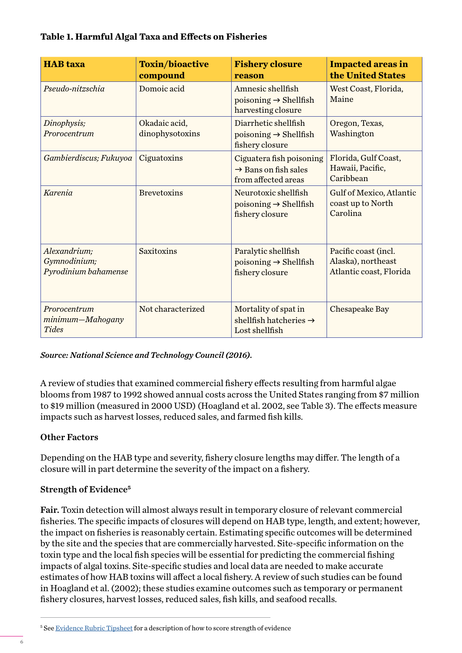#### **Table 1. Harmful Algal Taxa and Effects on Fisheries**

| <b>HAB</b> taxa                                      | <b>Toxin/bioactive</b><br>compound | <b>Fishery closure</b><br>reason                                                    | <b>Impacted areas in</b><br>the United States                         |
|------------------------------------------------------|------------------------------------|-------------------------------------------------------------------------------------|-----------------------------------------------------------------------|
| Pseudo-nitzschia                                     | Domoic acid                        | Amnesic shellfish<br>poisoning $\rightarrow$ Shellfish<br>harvesting closure        | West Coast, Florida,<br>Maine                                         |
| Dinophysis;<br>Prorocentrum                          | Okadaic acid,<br>dinophysotoxins   | Diarrhetic shellfish<br>poisoning $\rightarrow$ Shellfish<br>fishery closure        | Oregon, Texas,<br>Washington                                          |
| Gambierdiscus; Fukuyoa                               | Ciguatoxins                        | Ciguatera fish poisoning<br>$\rightarrow$ Bans on fish sales<br>from affected areas | Florida, Gulf Coast,<br>Hawaii, Pacific,<br>Caribbean                 |
| <b>Karenia</b>                                       | <b>Brevetoxins</b>                 | Neurotoxic shellfish<br>poisoning $\rightarrow$ Shellfish<br>fishery closure        | Gulf of Mexico, Atlantic<br>coast up to North<br>Carolina             |
| Alexandrium;<br>Gymnodinium;<br>Pyrodinium bahamense | Saxitoxins                         | Paralytic shellfish<br>$poisoning \rightarrow Shellfish$<br>fishery closure         | Pacific coast (incl.<br>Alaska), northeast<br>Atlantic coast, Florida |
| Prorocentrum<br>minimum-Mahogany<br><b>Tides</b>     | Not characterized                  | Mortality of spat in<br>shellfish hatcheries $\rightarrow$<br>Lost shellfish        | <b>Chesapeake Bay</b>                                                 |

*Source: National Science and Technology Council (2016).*

A review of studies that examined commercial fishery effects resulting from harmful algae blooms from 1987 to 1992 showed annual costs across the United States ranging from \$7 million to \$19 million (measured in 2000 USD) (Hoagland et al. 2002, see Table 3). The effects measure impacts such as harvest losses, reduced sales, and farmed fish kills.

#### Other Factors

Depending on the HAB type and severity, fishery closure lengths may differ. The length of a closure will in part determine the severity of the impact on a fishery.

#### Strength of Evidence**<sup>5</sup>**

Fair. Toxin detection will almost always result in temporary closure of relevant commercial fisheries. The specific impacts of closures will depend on HAB type, length, and extent; however, the impact on fisheries is reasonably certain. Estimating specific outcomes will be determined by the site and the species that are commercially harvested. Site-specific information on the toxin type and the local fish species will be essential for predicting the commercial fishing impacts of algal toxins. Site-specific studies and local data are needed to make accurate estimates of how HAB toxins will affect a local fishery. A review of such studies can be found in Hoagland et al. (2002); these studies examine outcomes such as temporary or permanent fishery closures, harvest losses, reduced sales, fish kills, and seafood recalls.

<sup>&</sup>lt;sup>5</sup> See [Evidence Rubric Tipsheet](https://nicholasinstitute.duke.edu/sites/default/files/bridge-collaborative/Evidence-Rubric-Interactive-D6.pdf) for a description of how to score strength of evidence